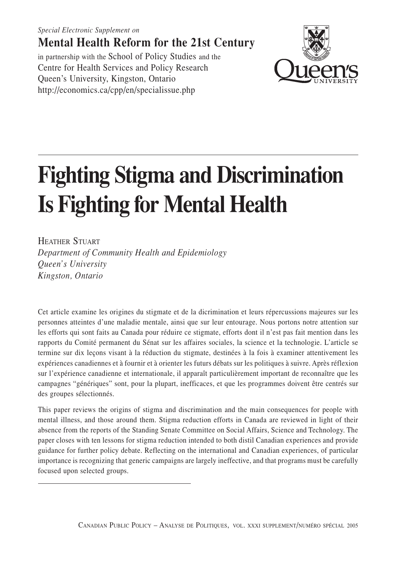*Fighting Stigma and Discrimination Is Fighting for Mental Health S21 Special Electronic Supplement on* **Mental Health Reform for the 21st Century** in partnership with the School of Policy Studies and the

## Centre for Health Services and Policy Research Queen's University, Kingston, Ontario http://economics.ca/cpp/en/specialissue.php

# **Fighting Stigma and Discrimination Is Fighting for Mental Health**

HEATHER STUART

*Department of Community Health and Epidemiology Queen's University Kingston, Ontario*

Cet article examine les origines du stigmate et de la dicrimination et leurs répercussions majeures sur les personnes atteintes d'une maladie mentale, ainsi que sur leur entourage. Nous portons notre attention sur les efforts qui sont faits au Canada pour réduire ce stigmate, efforts dont il n'est pas fait mention dans les rapports du Comité permanent du Sénat sur les affaires sociales, la science et la technologie. L'article se termine sur dix leçons visant à la réduction du stigmate, destinées à la fois à examiner attentivement les expériences canadiennes et à fournir et à orienter les futurs débats sur les politiques à suivre. Après réflexion sur l'expérience canadienne et internationale, il apparaît particulièrement important de reconnaître que les campagnes "génériques" sont, pour la plupart, inefficaces, et que les programmes doivent être centrés sur des groupes sélectionnés.

This paper reviews the origins of stigma and discrimination and the main consequences for people with mental illness, and those around them. Stigma reduction efforts in Canada are reviewed in light of their absence from the reports of the Standing Senate Committee on Social Affairs, Science and Technology. The paper closes with ten lessons for stigma reduction intended to both distil Canadian experiences and provide guidance for further policy debate. Reflecting on the international and Canadian experiences, of particular importance is recognizing that generic campaigns are largely ineffective, and that programs must be carefully focused upon selected groups.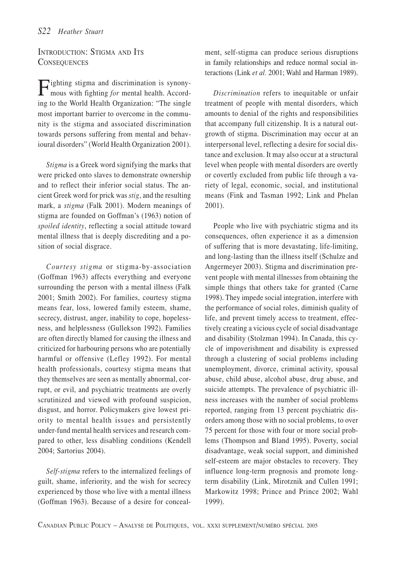#### INTRODUCTION: STIGMA AND ITS **CONSEQUENCES**

Fighting stigma and discrimination is synony-mous with fighting *for* mental health. According to the World Health Organization: "The single most important barrier to overcome in the community is the stigma and associated discrimination towards persons suffering from mental and behavioural disorders" (World Health Organization 2001).

*Stigma* is a Greek word signifying the marks that were pricked onto slaves to demonstrate ownership and to reflect their inferior social status. The ancient Greek word for prick was *stig*, and the resulting mark, a *stigma* (Falk 2001). Modern meanings of stigma are founded on Goffman's (1963) notion of *spoiled identity*, reflecting a social attitude toward mental illness that is deeply discrediting and a position of social disgrace.

*Courtesy stigma* or stigma-by-association (Goffman 1963) affects everything and everyone surrounding the person with a mental illness (Falk 2001; Smith 2002). For families, courtesy stigma means fear, loss, lowered family esteem, shame, secrecy, distrust, anger, inability to cope, hopelessness, and helplessness (Gullekson 1992). Families are often directly blamed for causing the illness and criticized for harbouring persons who are potentially harmful or offensive (Lefley 1992). For mental health professionals, courtesy stigma means that they themselves are seen as mentally abnormal, corrupt, or evil, and psychiatric treatments are overly scrutinized and viewed with profound suspicion, disgust, and horror. Policymakers give lowest priority to mental health issues and persistently under-fund mental health services and research compared to other, less disabling conditions (Kendell 2004; Sartorius 2004).

*Self-stigma* refers to the internalized feelings of guilt, shame, inferiority, and the wish for secrecy experienced by those who live with a mental illness (Goffman 1963). Because of a desire for concealment, self-stigma can produce serious disruptions in family relationships and reduce normal social interactions (Link *et al.* 2001; Wahl and Harman 1989).

*Discrimination* refers to inequitable or unfair treatment of people with mental disorders, which amounts to denial of the rights and responsibilities that accompany full citizenship. It is a natural outgrowth of stigma. Discrimination may occur at an interpersonal level, reflecting a desire for social distance and exclusion. It may also occur at a structural level when people with mental disorders are overtly or covertly excluded from public life through a variety of legal, economic, social, and institutional means (Fink and Tasman 1992; Link and Phelan 2001).

People who live with psychiatric stigma and its consequences, often experience it as a dimension of suffering that is more devastating, life-limiting, and long-lasting than the illness itself (Schulze and Angermeyer 2003). Stigma and discrimination prevent people with mental illnesses from obtaining the simple things that others take for granted (Carne 1998). They impede social integration, interfere with the performance of social roles, diminish quality of life, and prevent timely access to treatment, effectively creating a vicious cycle of social disadvantage and disability (Stolzman 1994). In Canada, this cycle of impoverishment and disability is expressed through a clustering of social problems including unemployment, divorce, criminal activity, spousal abuse, child abuse, alcohol abuse, drug abuse, and suicide attempts. The prevalence of psychiatric illness increases with the number of social problems reported, ranging from 13 percent psychiatric disorders among those with no social problems, to over 75 percent for those with four or more social problems (Thompson and Bland 1995). Poverty, social disadvantage, weak social support, and diminished self-esteem are major obstacles to recovery. They influence long-term prognosis and promote longterm disability (Link, Mirotznik and Cullen 1991; Markowitz 1998; Prince and Prince 2002; Wahl 1999).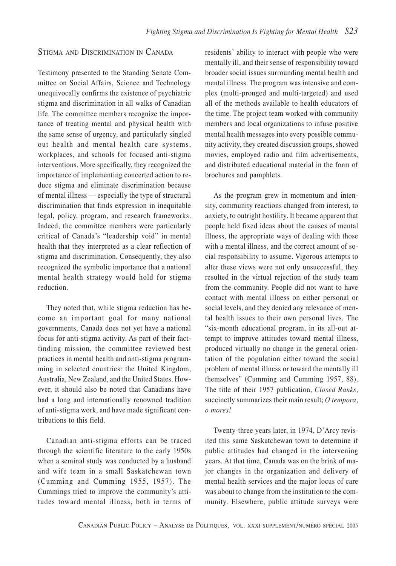#### STIGMA AND DISCRIMINATION IN CANADA

Testimony presented to the Standing Senate Committee on Social Affairs, Science and Technology unequivocally confirms the existence of psychiatric stigma and discrimination in all walks of Canadian life. The committee members recognize the importance of treating mental and physical health with the same sense of urgency, and particularly singled out health and mental health care systems, workplaces, and schools for focused anti-stigma interventions. More specifically, they recognized the importance of implementing concerted action to reduce stigma and eliminate discrimination because of mental illness — especially the type of structural discrimination that finds expression in inequitable legal, policy, program, and research frameworks. Indeed, the committee members were particularly critical of Canada's "leadership void" in mental health that they interpreted as a clear reflection of stigma and discrimination. Consequently, they also recognized the symbolic importance that a national mental health strategy would hold for stigma reduction.

They noted that, while stigma reduction has become an important goal for many national governments, Canada does not yet have a national focus for anti-stigma activity. As part of their factfinding mission, the committee reviewed best practices in mental health and anti-stigma programming in selected countries: the United Kingdom, Australia, New Zealand, and the United States. However, it should also be noted that Canadians have had a long and internationally renowned tradition of anti-stigma work, and have made significant contributions to this field.

Canadian anti-stigma efforts can be traced through the scientific literature to the early 1950s when a seminal study was conducted by a husband and wife team in a small Saskatchewan town (Cumming and Cumming 1955, 1957). The Cummings tried to improve the community's attitudes toward mental illness, both in terms of

residents' ability to interact with people who were mentally ill, and their sense of responsibility toward broader social issues surrounding mental health and mental illness. The program was intensive and complex (multi-pronged and multi-targeted) and used all of the methods available to health educators of the time. The project team worked with community members and local organizations to infuse positive mental health messages into every possible community activity, they created discussion groups, showed movies, employed radio and film advertisements, and distributed educational material in the form of brochures and pamphlets.

As the program grew in momentum and intensity, community reactions changed from interest, to anxiety, to outright hostility. It became apparent that people held fixed ideas about the causes of mental illness, the appropriate ways of dealing with those with a mental illness, and the correct amount of social responsibility to assume. Vigorous attempts to alter these views were not only unsuccessful, they resulted in the virtual rejection of the study team from the community. People did not want to have contact with mental illness on either personal or social levels, and they denied any relevance of mental health issues to their own personal lives. The "six-month educational program, in its all-out attempt to improve attitudes toward mental illness, produced virtually no change in the general orientation of the population either toward the social problem of mental illness or toward the mentally ill themselves" (Cumming and Cumming 1957, 88). The title of their 1957 publication, *Closed Ranks,* succinctly summarizes their main result; *O tempora, o mores!*

Twenty-three years later, in 1974, D'Arcy revisited this same Saskatchewan town to determine if public attitudes had changed in the intervening years. At that time, Canada was on the brink of major changes in the organization and delivery of mental health services and the major locus of care was about to change from the institution to the community. Elsewhere, public attitude surveys were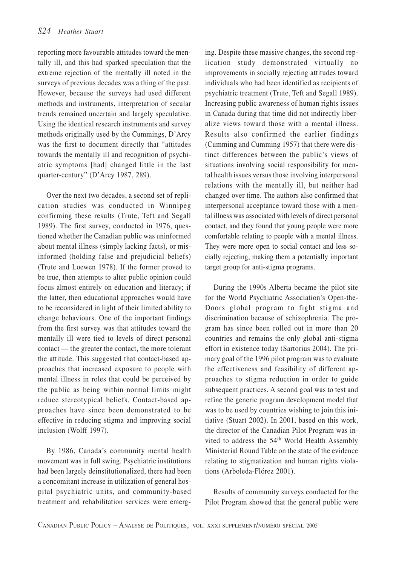reporting more favourable attitudes toward the mentally ill, and this had sparked speculation that the extreme rejection of the mentally ill noted in the surveys of previous decades was a thing of the past. However, because the surveys had used different methods and instruments, interpretation of secular trends remained uncertain and largely speculative. Using the identical research instruments and survey methods originally used by the Cummings, D'Arcy was the first to document directly that "attitudes towards the mentally ill and recognition of psychiatric symptoms [had] changed little in the last quarter-century" (D'Arcy 1987, 289).

Over the next two decades, a second set of replication studies was conducted in Winnipeg confirming these results (Trute, Teft and Segall 1989). The first survey, conducted in 1976, questioned whether the Canadian public was uninformed about mental illness (simply lacking facts), or misinformed (holding false and prejudicial beliefs) (Trute and Loewen 1978). If the former proved to be true, then attempts to alter public opinion could focus almost entirely on education and literacy; if the latter, then educational approaches would have to be reconsidered in light of their limited ability to change behaviours. One of the important findings from the first survey was that attitudes toward the mentally ill were tied to levels of direct personal contact — the greater the contact, the more tolerant the attitude. This suggested that contact-based approaches that increased exposure to people with mental illness in roles that could be perceived by the public as being within normal limits might reduce stereotypical beliefs. Contact-based approaches have since been demonstrated to be effective in reducing stigma and improving social inclusion (Wolff 1997).

By 1986, Canada's community mental health movement was in full swing. Psychiatric institutions had been largely deinstitutionalized, there had been a concomitant increase in utilization of general hospital psychiatric units, and community-based treatment and rehabilitation services were emerging. Despite these massive changes, the second replication study demonstrated virtually no improvements in socially rejecting attitudes toward individuals who had been identified as recipients of psychiatric treatment (Trute, Teft and Segall 1989). Increasing public awareness of human rights issues in Canada during that time did not indirectly liberalize views toward those with a mental illness. Results also confirmed the earlier findings (Cumming and Cumming 1957) that there were distinct differences between the public's views of situations involving social responsibility for mental health issues versus those involving interpersonal relations with the mentally ill, but neither had changed over time. The authors also confirmed that interpersonal acceptance toward those with a mental illness was associated with levels of direct personal contact, and they found that young people were more comfortable relating to people with a mental illness. They were more open to social contact and less socially rejecting, making them a potentially important target group for anti-stigma programs.

During the 1990s Alberta became the pilot site for the World Psychiatric Association's Open-the-Doors global program to fight stigma and discrimination because of schizophrenia. The program has since been rolled out in more than 20 countries and remains the only global anti-stigma effort in existence today (Sartorius 2004). The primary goal of the 1996 pilot program was to evaluate the effectiveness and feasibility of different approaches to stigma reduction in order to guide subsequent practices. A second goal was to test and refine the generic program development model that was to be used by countries wishing to join this initiative (Stuart 2002). In 2001, based on this work, the director of the Canadian Pilot Program was invited to address the 54<sup>th</sup> World Health Assembly Ministerial Round Table on the state of the evidence relating to stigmatization and human rights violations (Arboleda-Flórez 2001).

Results of community surveys conducted for the Pilot Program showed that the general public were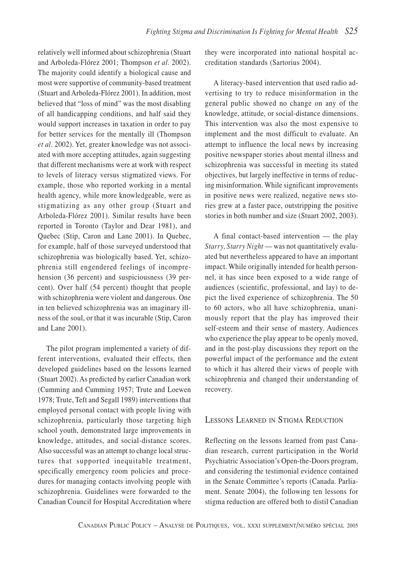relatively well informed about schizophrenia (Stuart and Arboleda-Flórez 2001; Thompson *et al.* 2002). The majority could identify a biological cause and most were supportive of community-based treatment (Stuart and Arboleda-Flórez 2001). In addition, most believed that "loss of mind" was the most disabling of all handicapping conditions, and half said they would support increases in taxation in order to pay for better services for the mentally ill (Thompson *et al.* 2002). Yet, greater knowledge was not associated with more accepting attitudes, again suggesting that different mechanisms were at work with respect to levels of literacy versus stigmatized views. For example, those who reported working in a mental health agency, while more knowledgeable, were as stigmatizing as any other group (Stuart and Arboleda-Flórez 2001). Similar results have been reported in Toronto (Taylor and Dear 1981), and Quebec (Stip, Caron and Lane 2001). In Quebec, for example, half of those surveyed understood that schizophrenia was biologically based. Yet, schizophrenia still engendered feelings of incomprehension (36 percent) and suspiciousness (39 percent). Over half (54 percent) thought that people with schizophrenia were violent and dangerous. One in ten believed schizophrenia was an imaginary illness of the soul, or that it was incurable (Stip, Caron and Lane 2001).

The pilot program implemented a variety of different interventions, evaluated their effects, then developed guidelines based on the lessons learned (Stuart 2002). As predicted by earlier Canadian work (Cumming and Cumming 1957; Trute and Loewen 1978; Trute, Teft and Segall 1989) interventions that employed personal contact with people living with schizophrenia, particularly those targeting high school youth, demonstrated large improvements in knowledge, attitudes, and social-distance scores. Also successful was an attempt to change local structures that supported inequitable treatment, specifically emergency room policies and procedures for managing contacts involving people with schizophrenia. Guidelines were forwarded to the Canadian Council for Hospital Accreditation where they were incorporated into national hospital accreditation standards (Sartorius 2004).

A literacy-based intervention that used radio advertising to try to reduce misinformation in the general public showed no change on any of the knowledge, attitude, or social-distance dimensions. This intervention was also the most expensive to implement and the most difficult to evaluate. An attempt to influence the local news by increasing positive newspaper stories about mental illness and schizophrenia was successful in meeting its stated objectives, but largely ineffective in terms of reducing misinformation. While significant improvements in positive news were realized, negative news stories grew at a faster pace, outstripping the positive stories in both number and size (Stuart 2002, 2003).

A final contact-based intervention — the play *Starry, Starry Night* — was not quantitatively evaluated but nevertheless appeared to have an important impact. While originally intended for health personnel, it has since been exposed to a wide range of audiences (scientific, professional, and lay) to depict the lived experience of schizophrenia. The 50 to 60 actors, who all have schizophrenia, unanimously report that the play has improved their self-esteem and their sense of mastery. Audiences who experience the play appear to be openly moved, and in the post-play discussions they report on the powerful impact of the performance and the extent to which it has altered their views of people with schizophrenia and changed their understanding of recovery.

### LESSONS LEARNED IN STIGMA REDUCTION

Reflecting on the lessons learned from past Canadian research, current participation in the World Psychiatric Association's Open-the-Doors program, and considering the testimonial evidence contained in the Senate Committee's reports (Canada. Parliament. Senate 2004), the following ten lessons for stigma reduction are offered both to distil Canadian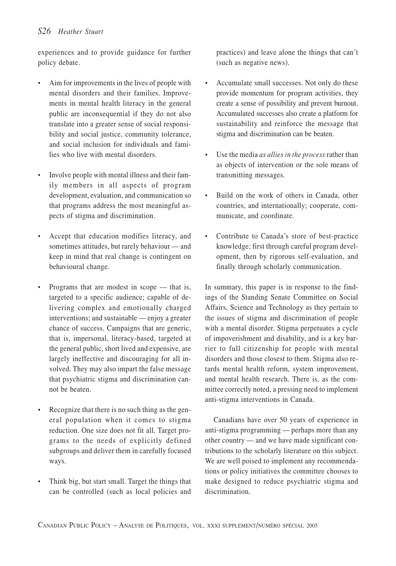experiences and to provide guidance for further policy debate.

- Aim for improvements in the lives of people with mental disorders and their families. Improvements in mental health literacy in the general public are inconsequential if they do not also translate into a greater sense of social responsibility and social justice, community tolerance, and social inclusion for individuals and families who live with mental disorders.
- Involve people with mental illness and their family members in all aspects of program development, evaluation, and communication so that programs address the most meaningful aspects of stigma and discrimination.
- Accept that education modifies literacy, and sometimes attitudes, but rarely behaviour — and keep in mind that real change is contingent on behavioural change.
- Programs that are modest in scope that is, targeted to a specific audience; capable of delivering complex and emotionally charged interventions; and sustainable — enjoy a greater chance of success. Campaigns that are generic, that is, impersonal, literacy-based, targeted at the general public, short lived and expensive, are largely ineffective and discouraging for all involved. They may also impart the false message that psychiatric stigma and discrimination cannot be beaten.
- Recognize that there is no such thing as the general population when it comes to stigma reduction. One size does not fit all. Target programs to the needs of explicitly defined subgroups and deliver them in carefully focused ways.
- Think big, but start small. Target the things that can be controlled (such as local policies and

practices) and leave alone the things that can't (such as negative news).

- Accumulate small successes. Not only do these provide momentum for program activities, they create a sense of possibility and prevent burnout. Accumulated successes also create a platform for sustainability and reinforce the message that stigma and discrimination can be beaten.
- Use the media *as allies in the process* rather than as objects of intervention or the sole means of transmitting messages.
- Build on the work of others in Canada, other countries, and internationally; cooperate, communicate, and coordinate.
- Contribute to Canada's store of best-practice knowledge; first through careful program development, then by rigorous self-evaluation, and finally through scholarly communication.

In summary, this paper is in response to the findings of the Standing Senate Committee on Social Affairs, Science and Technology as they pertain to the issues of stigma and discrimination of people with a mental disorder. Stigma perpetuates a cycle of impoverishment and disability, and is a key barrier to full citizenship for people with mental disorders and those closest to them. Stigma also retards mental health reform, system improvement, and mental health research. There is, as the committee correctly noted, a pressing need to implement anti-stigma interventions in Canada.

Canadians have over 50 years of experience in anti-stigma programming — perhaps more than any other country — and we have made significant contributions to the scholarly literature on this subject. We are well poised to implement any recommendations or policy initiatives the committee chooses to make designed to reduce psychiatric stigma and discrimination.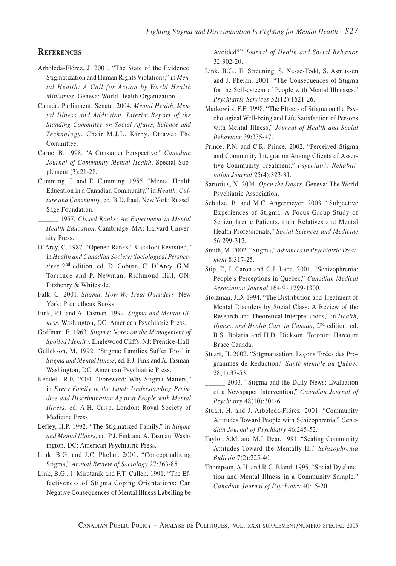#### **REFERENCES**

- Arboleda-Flórez, J. 2001. "The State of the Evidence: Stigmatization and Human Rights Violations," in *Mental Health: A Call for Action by World Health Ministries*. Geneva: World Health Organization.
- Canada. Parliament. Senate. 2004. *Mental Health, Mental Illness and Addiction: Interim Report of the Standing Committee on Social Affairs, Science and Technology*. Chair M.J.L. Kirby. Ottawa: The Committee.
- Carne, B. 1998. "A Consumer Perspective," *Canadian Journal of Community Mental Health,* Special Supplement (3):21-28.
- Cumming, J. and E. Cumming. 1955. "Mental Health Education in a Canadian Community," in *Health, Culture and Community*, ed. B.D. Paul. New York: Russell Sage Foundation.
- \_\_\_\_\_\_ 1957. *Closed Ranks: An Experiment in Mental Health Education*. Cambridge, MA: Harvard University Press.
- D'Arcy, C. 1987. "Opened Ranks? Blackfoot Revisited," in *Health and Canadian Society: Sociological Perspectives* 2nd edition, ed. D. Coburn, C. D'Arcy, G.M. Torrance and P. Newman. Richmond Hill, ON: Fitzhenry & Whiteside.
- Falk, G. 2001. *Stigma: How We Treat Outsiders*. New York: Prometheus Books.
- Fink, P.J. and A. Tasman. 1992. *Stigma and Mental Illness*. Washington, DC: American Psychiatric Press.
- Goffman, E. 1963. *Stigma: Notes on the Management of Spoiled Identity*. Englewood Cliffs, NJ: Prentice-Hall.
- Gullekson, M. 1992. "Stigma: Families Suffer Too," in *Stigma and Mental Illness*, ed. P.J. Fink and A. Tasman. Washington, DC: American Psychiatric Press.
- Kendell, R.E. 2004. "Foreword: Why Stigma Matters," in *Every Family in the Land: Understanding Prejudice and Discrimination Against People with Mental Illness*, ed. A.H. Crisp. London: Royal Society of Medicine Press.
- Lefley, H.P. 1992. "The Stigmatized Family," in *Stigma and Mental Illness*, ed. P.J. Fink and A. Tasman. Washington, DC: American Psychiatric Press.
- Link, B.G. and J.C. Phelan. 2001. "Conceptualizing Stigma," *Annual Review of Sociology* 27:363-85.
- Link, B.G., J. Mirotznik and F.T. Cullen. 1991. "The Effectiveness of Stigma Coping Orientations: Can Negative Consequences of Mental Illness Labelling be

Avoided?" *Journal of Health and Social Behavior* 32:302-20.

- Link, B.G., E. Streuning, S. Nesse-Todd, S. Asmussen and J. Phelan. 2001. "The Consequences of Stigma for the Self-esteem of People with Mental Illnesses," *Psychiatric Services* 52(12):1621-26.
- Markowitz, F.E. 1998. "The Effects of Stigma on the Psychological Well-being and Life Satisfaction of Persons with Mental Illness," *Journal of Health and Social Behaviour* 39:335-47.
- Prince, P.N. and C.R. Prince. 2002. "Perceived Stigma and Community Integration Among Clients of Assertive Community Treatment," *Psychiatric Rehabilitation Journal* 25(4):323-31.
- Sartorius, N. 2004. *Open the Doors.* Geneva: The World Psychiatric Association.
- Schulze, B. and M.C. Angermeyer. 2003. "Subjective Experiences of Stigma. A Focus Group Study of Schizophrenic Patients, their Relatives and Mental Health Professionals," *Social Sciences and Medicine* 56:299-312.
- Smith, M. 2002. "Stigma," *Advances in Psychiatric Treatment* 8:317-25.
- Stip, E, J. Caron and C.J. Lane. 2001. "Schizophrenia: People's Perceptions in Quebec," *Canadian Medical Association Journal* 164(9):1299-1300.
- Stolzman, J.D. 1994. "The Distribution and Treatment of Mental Disorders by Social Class: A Review of the Research and Theoretical Interpretations," in *Health, Illness, and Health Care in Canada,* 2nd edition, ed. B.S. Bolaria and H.D. Dickson. Toronto: Harcourt Brace Canada.
- Stuart, H. 2002. "Sitgmatisation. Leçons Tirées des Programmes de Reduction," *Santé mentale au Québec* 28(1):37-53.
- 2003. "Stigma and the Daily News: Evaluation of a Newspaper Intervention," *Canadian Journal of Psychiatry* 48(10):301-6.
- Stuart, H. and J. Arboleda-Flórez. 2001. "Community Attitudes Toward People with Schizophrenia," *Canadian Journal of Psychiatry* 46:245-52.
- Taylor, S.M. and M.J. Dear. 1981. "Scaling Community Attitudes Toward the Mentally Ill," *Schizophrenia Bulletin* 7(2):225-40.
- Thompson, A.H. and R.C. Bland. 1995. "Social Dysfunction and Mental Illness in a Community Sample," *Canadian Journal of Psychiatry* 40:15-20.